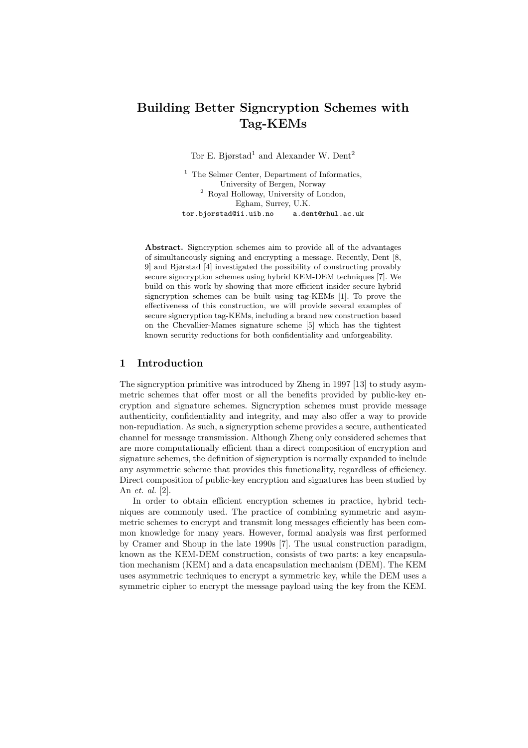# Building Better Signcryption Schemes with Tag-KEMs

Tor E. Bjørstad<sup>1</sup> and Alexander W. Dent<sup>2</sup>

<sup>1</sup> The Selmer Center, Department of Informatics, University of Bergen, Norway <sup>2</sup> Royal Holloway, University of London, Egham, Surrey, U.K. tor.bjorstad@ii.uib.no a.dent@rhul.ac.uk

Abstract. Signcryption schemes aim to provide all of the advantages of simultaneously signing and encrypting a message. Recently, Dent [8, 9] and Bjørstad [4] investigated the possibility of constructing provably secure signcryption schemes using hybrid KEM-DEM techniques [7]. We build on this work by showing that more efficient insider secure hybrid signcryption schemes can be built using tag-KEMs [1]. To prove the effectiveness of this construction, we will provide several examples of secure signcryption tag-KEMs, including a brand new construction based on the Chevallier-Mames signature scheme [5] which has the tightest known security reductions for both confidentiality and unforgeability.

# 1 Introduction

The signcryption primitive was introduced by Zheng in 1997 [13] to study asymmetric schemes that offer most or all the benefits provided by public-key encryption and signature schemes. Signcryption schemes must provide message authenticity, confidentiality and integrity, and may also offer a way to provide non-repudiation. As such, a signcryption scheme provides a secure, authenticated channel for message transmission. Although Zheng only considered schemes that are more computationally efficient than a direct composition of encryption and signature schemes, the definition of signcryption is normally expanded to include any asymmetric scheme that provides this functionality, regardless of efficiency. Direct composition of public-key encryption and signatures has been studied by An et. al. [2].

In order to obtain efficient encryption schemes in practice, hybrid techniques are commonly used. The practice of combining symmetric and asymmetric schemes to encrypt and transmit long messages efficiently has been common knowledge for many years. However, formal analysis was first performed by Cramer and Shoup in the late 1990s [7]. The usual construction paradigm, known as the KEM-DEM construction, consists of two parts: a key encapsulation mechanism (KEM) and a data encapsulation mechanism (DEM). The KEM uses asymmetric techniques to encrypt a symmetric key, while the DEM uses a symmetric cipher to encrypt the message payload using the key from the KEM.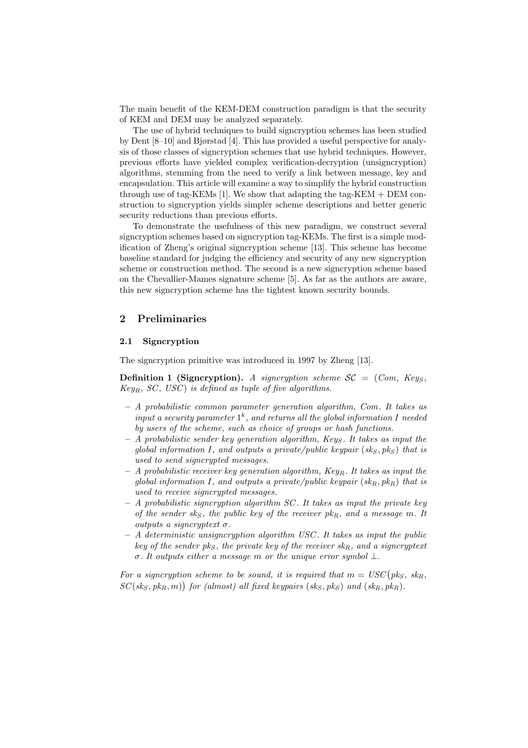The main benefit of the KEM-DEM construction paradigm is that the security of KEM and DEM may be analyzed separately.

The use of hybrid techniques to build signcryption schemes has been studied by Dent [8–10] and Bjørstad [4]. This has provided a useful perspective for analysis of those classes of signcryption schemes that use hybrid techniques. However, previous efforts have yielded complex verification-decryption (unsigncryption) algorithms, stemming from the need to verify a link between message, key and encapsulation. This article will examine a way to simplify the hybrid construction through use of tag-KEMs [1]. We show that adapting the tag-KEM  $+$  DEM construction to signcryption yields simpler scheme descriptions and better generic security reductions than previous efforts.

To demonstrate the usefulness of this new paradigm, we construct several signcryption schemes based on signcryption tag-KEMs. The first is a simple modification of Zheng's original signcryption scheme [13]. This scheme has become baseline standard for judging the efficiency and security of any new signcryption scheme or construction method. The second is a new signcryption scheme based on the Chevallier-Mames signature scheme [5]. As far as the authors are aware, this new signcryption scheme has the tightest known security bounds.

# 2 Preliminaries

#### 2.1 Signcryption

The signcryption primitive was introduced in 1997 by Zheng [13].

**Definition 1 (Signcryption).** A signcryption scheme  $SC = (Com, Key_S,$  $Key_B$ ,  $SC$ ,  $USC$ ) is defined as tuple of five algorithms.

- $-$  A probabilistic common parameter generation algorithm, Com. It takes as input a security parameter  $1^k$ , and returns all the global information I needed by users of the scheme, such as choice of groups or hash functions.
- $-$  A probabilistic sender key generation algorithm, Keys. It takes as input the global information I, and outputs a private/public keypair  $(s_k, p_k)$  that is used to send signcrypted messages.
- $-$  A probabilistic receiver key generation algorithm, Key<sub>R</sub>. It takes as input the global information I, and outputs a private/public keypair  $(s k_B, p k_B)$  that is used to receive signcrypted messages.
- $-$  A probabilistic signcryption algorithm SC. It takes as input the private key of the sender sks, the public key of the receiver  $pk_R$ , and a message m. It outputs a signcryptext  $\sigma$ .
- $A$  deterministic unsigncryption algorithm USC. It takes as input the public key of the sender  $pk_S$ , the private key of the receiver  $sk_R$ , and a signcryptext σ. It outputs either a message m or the unique error symbol  $\bot$ .

For a signcryption scheme to be sound, it is required that  $m = USC(pk<sub>S</sub>, sk<sub>R</sub>,$  $SC(sk_S, pk_R, m)$  for (almost) all fixed keypairs  $(sk_S, pk_S)$  and  $(sk_R, pk_R)$ .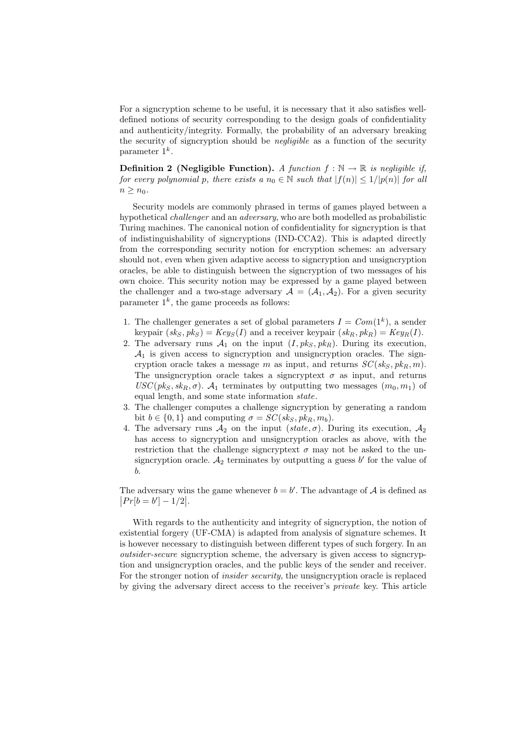For a signcryption scheme to be useful, it is necessary that it also satisfies welldefined notions of security corresponding to the design goals of confidentiality and authenticity/integrity. Formally, the probability of an adversary breaking the security of signcryption should be *negligible* as a function of the security parameter  $1^k$ .

**Definition 2** (Negligible Function). A function  $f : \mathbb{N} \to \mathbb{R}$  is negligible if, for every polynomial p, there exists a  $n_0 \in \mathbb{N}$  such that  $|f(n)| \leq 1/|p(n)|$  for all  $n > n_0$ .

Security models are commonly phrased in terms of games played between a hypothetical challenger and an adversary, who are both modelled as probabilistic Turing machines. The canonical notion of confidentiality for signcryption is that of indistinguishability of signcryptions (IND-CCA2). This is adapted directly from the corresponding security notion for encryption schemes: an adversary should not, even when given adaptive access to signcryption and unsigncryption oracles, be able to distinguish between the signcryption of two messages of his own choice. This security notion may be expressed by a game played between the challenger and a two-stage adversary  $A = (A_1, A_2)$ . For a given security parameter  $1^k$ , the game proceeds as follows:

- 1. The challenger generates a set of global parameters  $I = Com(1<sup>k</sup>)$ , a sender keypair  $(s k<sub>S</sub>, p k<sub>S</sub>) = Key<sub>S</sub>(I)$  and a receiver keypair  $(s k<sub>R</sub>, p k<sub>R</sub>) = Key<sub>R</sub>(I)$ .
- 2. The adversary runs  $A_1$  on the input  $(I, pk_S, pk_R)$ . During its execution,  $A_1$  is given access to signcryption and unsigncryption oracles. The signcryption oracle takes a message m as input, and returns  $SC(s k<sub>S</sub>, p k<sub>R</sub>, m)$ . The unsigncryption oracle takes a signcryptext  $\sigma$  as input, and returns  $USC(pk<sub>S</sub>, sk<sub>B</sub>, \sigma)$ .  $A<sub>1</sub>$  terminates by outputting two messages  $(m<sub>0</sub>, m<sub>1</sub>)$  of equal length, and some state information state.
- 3. The challenger computes a challenge signcryption by generating a random bit  $b \in \{0, 1\}$  and computing  $\sigma = SC(sk_S, pk_B, m_b)$ .
- 4. The adversary runs  $\mathcal{A}_2$  on the input (state,  $\sigma$ ). During its execution,  $\mathcal{A}_2$ has access to signcryption and unsigncryption oracles as above, with the restriction that the challenge signcryptext  $\sigma$  may not be asked to the unsigncryption oracle.  $A_2$  terminates by outputting a guess  $b'$  for the value of b.

The adversary wins the game whenever  $b = b'$ . The advantage of A is defined as  $|Pr[b = b'] - 1/2|$ .

With regards to the authenticity and integrity of signcryption, the notion of existential forgery (UF-CMA) is adapted from analysis of signature schemes. It is however necessary to distinguish between different types of such forgery. In an outsider-secure signcryption scheme, the adversary is given access to signcryption and unsigncryption oracles, and the public keys of the sender and receiver. For the stronger notion of *insider security*, the unsigncryption oracle is replaced by giving the adversary direct access to the receiver's private key. This article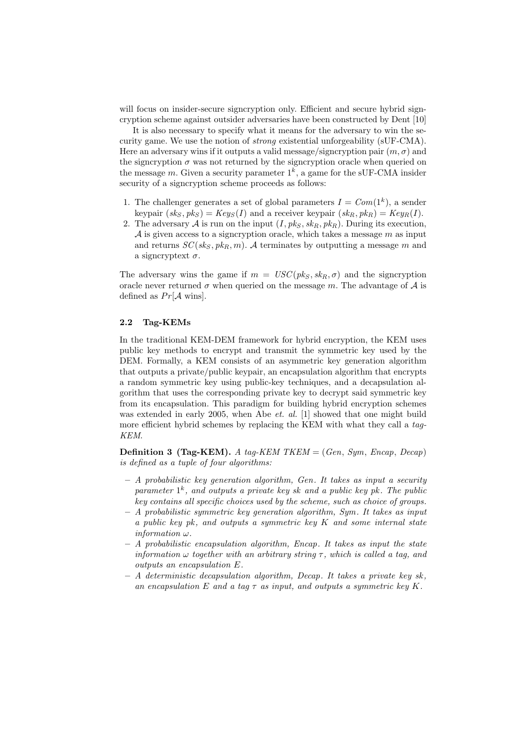will focus on insider-secure signcryption only. Efficient and secure hybrid signcryption scheme against outsider adversaries have been constructed by Dent [10]

It is also necessary to specify what it means for the adversary to win the security game. We use the notion of strong existential unforgeability (sUF-CMA). Here an adversary wins if it outputs a valid message/signcryption pair  $(m, \sigma)$  and the signcryption  $\sigma$  was not returned by the signcryption oracle when queried on the message m. Given a security parameter  $1^k$ , a game for the sUF-CMA insider security of a signcryption scheme proceeds as follows:

- 1. The challenger generates a set of global parameters  $I = Com(1<sup>k</sup>)$ , a sender keypair  $(s k<sub>S</sub>, p k<sub>S</sub>) = Key<sub>S</sub>(I)$  and a receiver keypair  $(s k<sub>B</sub>, p k<sub>B</sub>) = Key<sub>B</sub>(I)$ .
- 2. The adversary A is run on the input  $(I, pk_S, sk_R, pk_R)$ . During its execution,  $A$  is given access to a signcryption oracle, which takes a message  $m$  as input and returns  $SC(s k<sub>S</sub>, p k<sub>R</sub>, m)$ . A terminates by outputting a message m and a signcryptext  $\sigma$ .

The adversary wins the game if  $m = USC(pk_S, sk_R, \sigma)$  and the signcryption oracle never returned  $\sigma$  when queried on the message m. The advantage of A is defined as  $Pr[\mathcal{A}$  wins.

#### 2.2 Tag-KEMs

In the traditional KEM-DEM framework for hybrid encryption, the KEM uses public key methods to encrypt and transmit the symmetric key used by the DEM. Formally, a KEM consists of an asymmetric key generation algorithm that outputs a private/public keypair, an encapsulation algorithm that encrypts a random symmetric key using public-key techniques, and a decapsulation algorithm that uses the corresponding private key to decrypt said symmetric key from its encapsulation. This paradigm for building hybrid encryption schemes was extended in early 2005, when Abe *et. al.* [1] showed that one might build more efficient hybrid schemes by replacing the KEM with what they call a tag-KEM.

**Definition 3 (Tag-KEM).** A tag-KEM TKEM  $=(Gen, Sym, Encap, Decap)$ is defined as a tuple of four algorithms:

- $-$  A probabilistic key generation algorithm, Gen. It takes as input a security parameter  $1^k$ , and outputs a private key sk and a public key pk. The public key contains all specific choices used by the scheme, such as choice of groups.
- $-$  A probabilistic symmetric key generation algorithm, Sym. It takes as input a public key pk, and outputs a symmetric key  $K$  and some internal state information ω.
- $-$  A probabilistic encapsulation algorithm, Encap. It takes as input the state information  $\omega$  together with an arbitrary string  $\tau$ , which is called a tag, and outputs an encapsulation E.
- $A$  deterministic decapsulation algorithm, Decap. It takes a private key sk, an encapsulation E and a tag  $\tau$  as input, and outputs a symmetric key K.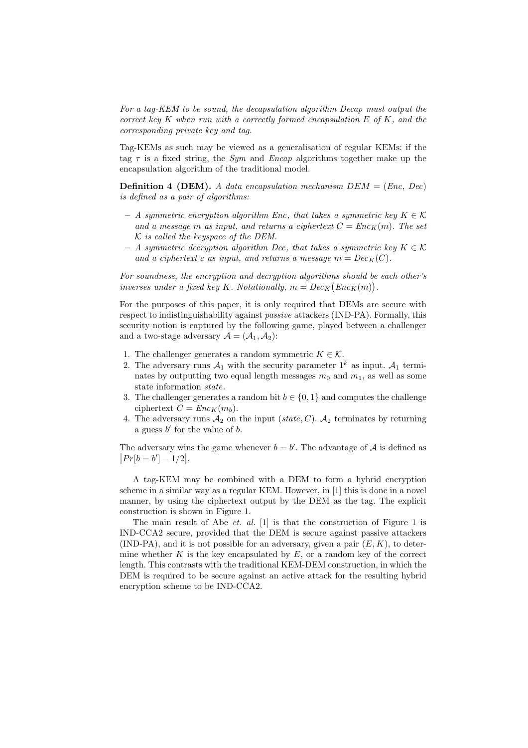For a tag-KEM to be sound, the decapsulation algorithm Decap must output the correct key K when run with a correctly formed encapsulation  $E$  of  $K$ , and the corresponding private key and tag.

Tag-KEMs as such may be viewed as a generalisation of regular KEMs: if the tag  $\tau$  is a fixed string, the *Sym* and *Encap* algorithms together make up the encapsulation algorithm of the traditional model.

**Definition 4 (DEM).** A data encapsulation mechanism  $DEM = (Enc, Dec)$ is defined as a pair of algorithms:

- $-$  A symmetric encryption algorithm Enc, that takes a symmetric key  $K \in \mathcal{K}$ and a message m as input, and returns a ciphertext  $C = Enc_K(m)$ . The set  $K$  is called the keyspace of the DEM.
- A symmetric decryption algorithm Dec, that takes a symmetric key  $K \in \mathcal{K}$ and a ciphertext c as input, and returns a message  $m = Dec_K(C)$ .

For soundness, the encryption and decryption algorithms should be each other's inverses under a fixed key K. Notationally,  $m = Dec_K(Enc_K(m)).$ 

For the purposes of this paper, it is only required that DEMs are secure with respect to indistinguishability against *passive* attackers (IND-PA). Formally, this security notion is captured by the following game, played between a challenger and a two-stage adversary  $\mathcal{A} = (\mathcal{A}_1, \mathcal{A}_2)$ :

- 1. The challenger generates a random symmetric  $K \in \mathcal{K}$ .
- 2. The adversary runs  $A_1$  with the security parameter  $1^k$  as input.  $A_1$  terminates by outputting two equal length messages  $m_0$  and  $m_1$ , as well as some state information state.
- 3. The challenger generates a random bit  $b \in \{0, 1\}$  and computes the challenge ciphertext  $C = Enc_K(m_b)$ .
- 4. The adversary runs  $A_2$  on the input (state, C).  $A_2$  terminates by returning a guess  $b'$  for the value of  $b$ .

The adversary wins the game whenever  $b = b'$ . The advantage of A is defined as  $|Pr[b = b'] - 1/2|$ .

A tag-KEM may be combined with a DEM to form a hybrid encryption scheme in a similar way as a regular KEM. However, in [1] this is done in a novel manner, by using the ciphertext output by the DEM as the tag. The explicit construction is shown in Figure 1.

The main result of Abe *et. al.* [1] is that the construction of Figure 1 is IND-CCA2 secure, provided that the DEM is secure against passive attackers (IND-PA), and it is not possible for an adversary, given a pair  $(E, K)$ , to determine whether K is the key encapsulated by  $E$ , or a random key of the correct length. This contrasts with the traditional KEM-DEM construction, in which the DEM is required to be secure against an active attack for the resulting hybrid encryption scheme to be IND-CCA2.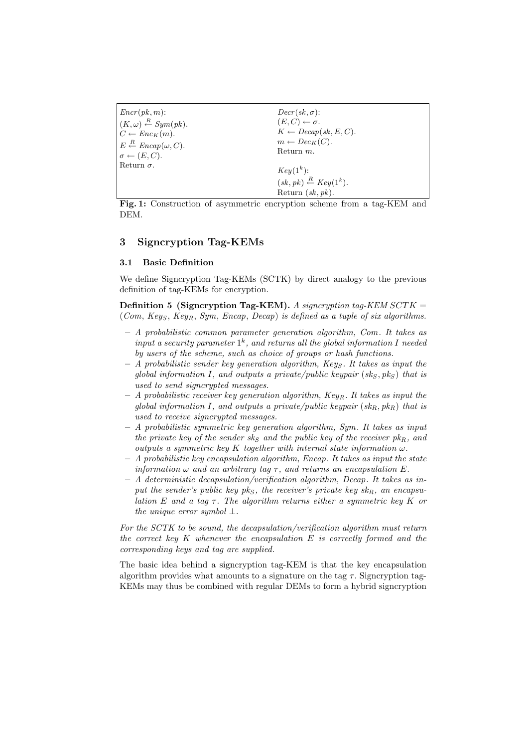| $Encr(pk, m)$ :                                | $Decr(sk, \sigma)$ :                                                                |
|------------------------------------------------|-------------------------------------------------------------------------------------|
| $(K,\omega) \stackrel{R}{\leftarrow} Sym(pk).$ | $(E, C) \leftarrow \sigma.$                                                         |
| $C \leftarrow Enc_K(m)$ .                      | $K \leftarrow Decap(sk, E, C).$                                                     |
| $E \stackrel{R}{\leftarrow} Encap(\omega, C).$ | $m \leftarrow Dec_K(C).$                                                            |
| $\sigma \leftarrow (E, C).$                    | Return $m$ .                                                                        |
| Return $\sigma$ .                              | $Key(1k)$ :<br>$(sk, pk) \stackrel{R}{\leftarrow} Key(1^k).$<br>Return $(sk, pk)$ . |

Fig. 1: Construction of asymmetric encryption scheme from a tag-KEM and DEM.

# 3 Signcryption Tag-KEMs

#### 3.1 Basic Definition

We define Signcryption Tag-KEMs (SCTK) by direct analogy to the previous definition of tag-KEMs for encryption.

Definition 5 (Signcryption Tag-KEM). A signcryption tag-KEM  $SCTK =$ (Com, Keys, Key<sub>R</sub>, Sym, Encap, Decap) is defined as a tuple of six algorithms.

- $A$  probabilistic common parameter generation algorithm, Com. It takes as input a security parameter  $1^k$ , and returns all the global information I needed by users of the scheme, such as choice of groups or hash functions.
- $-$  A probabilistic sender key generation algorithm, Keys. It takes as input the global information I, and outputs a private/public keypair  $(s_k, p_k)$  that is used to send signcrypted messages.
- $A$  probabilistic receiver key generation algorithm,  $Key_R$ . It takes as input the global information I, and outputs a private/public keypair  $(s_{kR}, p_{kR})$  that is used to receive signcrypted messages.
- $-$  A probabilistic symmetric key generation algorithm, Sym. It takes as input the private key of the sender sks and the public key of the receiver  $pk_R$ , and outputs a symmetric key K together with internal state information  $\omega$ .
- $A$  probabilistic key encapsulation algorithm, Encap. It takes as input the state information  $\omega$  and an arbitrary tag  $\tau$ , and returns an encapsulation E.
- $-$  A deterministic decapsulation/verification algorithm, Decap. It takes as input the sender's public key pks, the receiver's private key sk<sub>R</sub>, an encapsulation E and a tag  $\tau$ . The algorithm returns either a symmetric key K or the unique error symbol  $\perp$ .

For the SCTK to be sound, the decapsulation/verification algorithm must return the correct key  $K$  whenever the encapsulation  $E$  is correctly formed and the corresponding keys and tag are supplied.

The basic idea behind a signcryption tag-KEM is that the key encapsulation algorithm provides what amounts to a signature on the tag  $\tau$ . Signcryption tag-KEMs may thus be combined with regular DEMs to form a hybrid signcryption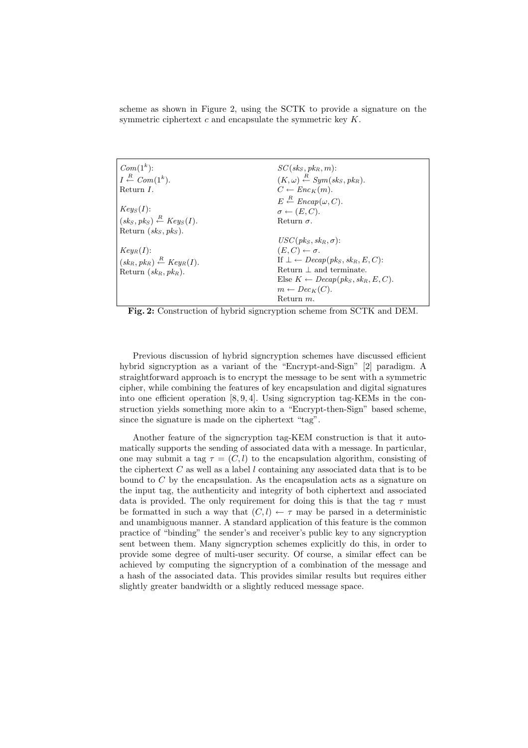scheme as shown in Figure 2, using the SCTK to provide a signature on the symmetric ciphertext  $c$  and encapsulate the symmetric key  $K$ .

| $Com(1^k)$ :                                      | $SC(s kS, p kR, m)$ :                                               |
|---------------------------------------------------|---------------------------------------------------------------------|
| $I \stackrel{R}{\leftarrow} Com(1^k)$ .           | $(K, \omega) \stackrel{R}{\leftarrow} Sym({\rm sk}_S, {\rm pk}_R).$ |
| Return $I$ .                                      | $C \leftarrow Enc_K(m)$ .                                           |
|                                                   | $E \stackrel{R}{\leftarrow} Encap(\omega, C).$                      |
| $Key_S(I)$ :                                      | $\sigma \leftarrow (E, C).$                                         |
| $(skS, pkS) \stackrel{R}{\leftarrow} Key_S(I).$   | Return $\sigma$ .                                                   |
| Return $(sk_S, pk_S)$ .                           |                                                                     |
|                                                   | $USC(pk_S, sk_B, \sigma)$ :                                         |
| $Key_R(I)$ :                                      | $(E, C) \leftarrow \sigma.$                                         |
| $(sk_R, pk_R) \stackrel{R}{\leftarrow} Key_R(I).$ | If $\bot \leftarrow \text{Decap}(p k_S, s k_R, E, C)$ :             |
| Return $(\,sk_R, \,pk_R\,)$ .                     | Return $\perp$ and terminate.                                       |
|                                                   | Else $K \leftarrow Decap(pk_S, sk_B, E, C)$ .                       |
|                                                   | $m \leftarrow Dec_K(C).$                                            |
|                                                   | Return $m$ .                                                        |

Fig. 2: Construction of hybrid signcryption scheme from SCTK and DEM.

Previous discussion of hybrid signcryption schemes have discussed efficient hybrid signcryption as a variant of the "Encrypt-and-Sign" [2] paradigm. A straightforward approach is to encrypt the message to be sent with a symmetric cipher, while combining the features of key encapsulation and digital signatures into one efficient operation  $[8, 9, 4]$ . Using signcryption tag-KEMs in the construction yields something more akin to a "Encrypt-then-Sign" based scheme, since the signature is made on the ciphertext "tag".

Another feature of the signcryption tag-KEM construction is that it automatically supports the sending of associated data with a message. In particular, one may submit a tag  $\tau = (C, l)$  to the encapsulation algorithm, consisting of the ciphertext  $C$  as well as a label  $l$  containing any associated data that is to be bound to  $C$  by the encapsulation. As the encapsulation acts as a signature on the input tag, the authenticity and integrity of both ciphertext and associated data is provided. The only requirement for doing this is that the tag  $\tau$  must be formatted in such a way that  $(C, l) \leftarrow \tau$  may be parsed in a deterministic and unambiguous manner. A standard application of this feature is the common practice of "binding" the sender's and receiver's public key to any signcryption sent between them. Many signcryption schemes explicitly do this, in order to provide some degree of multi-user security. Of course, a similar effect can be achieved by computing the signcryption of a combination of the message and a hash of the associated data. This provides similar results but requires either slightly greater bandwidth or a slightly reduced message space.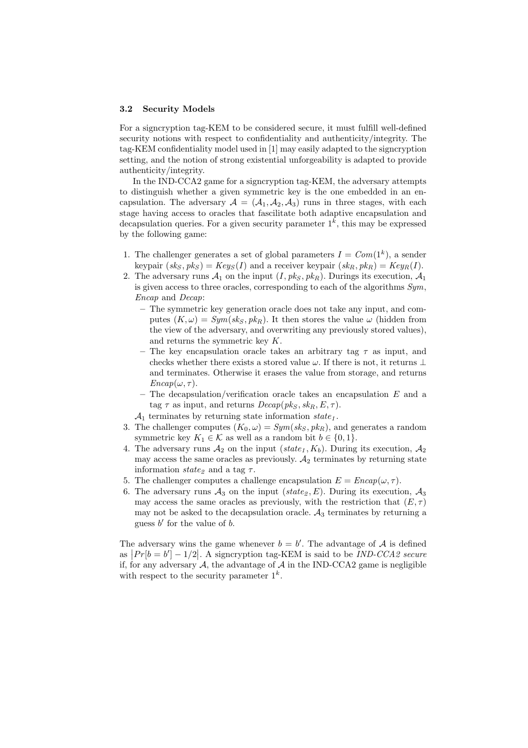#### 3.2 Security Models

For a signcryption tag-KEM to be considered secure, it must fulfill well-defined security notions with respect to confidentiality and authenticity/integrity. The tag-KEM confidentiality model used in [1] may easily adapted to the signcryption setting, and the notion of strong existential unforgeability is adapted to provide authenticity/integrity.

In the IND-CCA2 game for a signcryption tag-KEM, the adversary attempts to distinguish whether a given symmetric key is the one embedded in an encapsulation. The adversary  $A = (A_1, A_2, A_3)$  runs in three stages, with each stage having access to oracles that fascilitate both adaptive encapsulation and decapsulation queries. For a given security parameter  $1<sup>k</sup>$ , this may be expressed by the following game:

- 1. The challenger generates a set of global parameters  $I = Com(1<sup>k</sup>)$ , a sender keypair  $(s k<sub>S</sub>, p k<sub>S</sub>) = Key<sub>S</sub>(I)$  and a receiver keypair  $(s k<sub>R</sub>, p k<sub>R</sub>) = Key<sub>R</sub>(I)$ .
- 2. The adversary runs  $\mathcal{A}_1$  on the input  $(I, \mathit{pk}_S, \mathit{pk}_R)$ . Durings its execution,  $\mathcal{A}_1$ is given access to three oracles, corresponding to each of the algorithms Sym, Encap and Decap:
	- The symmetric key generation oracle does not take any input, and computes  $(K, \omega) = Sym({\mathfrak s}{\mathfrak k}_S, {\mathfrak p}{\mathfrak k}_R)$ . It then stores the value  $\omega$  (hidden from the view of the adversary, and overwriting any previously stored values), and returns the symmetric key K.
	- The key encapsulation oracle takes an arbitrary tag  $\tau$  as input, and checks whether there exists a stored value  $\omega$ . If there is not, it returns ⊥ and terminates. Otherwise it erases the value from storage, and returns  $Encap(\omega, \tau)$ .
	- The decapsulation/verification oracle takes an encapsulation  $E$  and a tag  $\tau$  as input, and returns  $Decap(pk_S, sk_B, E, \tau)$ .
	- $\mathcal{A}_1$  terminates by returning state information state<sub>1</sub>.
- 3. The challenger computes  $(K_0, \omega) = Sym(sk_S, pk_R)$ , and generates a random symmetric key  $K_1 \in \mathcal{K}$  as well as a random bit  $b \in \{0, 1\}.$
- 4. The adversary runs  $A_2$  on the input (state<sub>1</sub>, K<sub>b</sub>). During its execution,  $A_2$ may access the same oracles as previously.  $A_2$  terminates by returning state information  $state_2$  and a tag  $\tau$ .
- 5. The challenger computes a challenge encapsulation  $E = E n cap(\omega, \tau)$ .
- 6. The adversary runs  $A_3$  on the input (state<sub>2</sub>, E). During its execution,  $A_3$ may access the same oracles as previously, with the restriction that  $(E, \tau)$ may not be asked to the decapsulation oracle.  $A_3$  terminates by returning a guess  $b'$  for the value of  $b$ .

The adversary wins the game whenever  $b = b'$ . The advantage of A is defined as  $|Pr[b = b'] - 1/2|$ . A signcryption tag-KEM is said to be *IND-CCA2 secure* if, for any adversary  $A$ , the advantage of  $A$  in the IND-CCA2 game is negligible with respect to the security parameter  $1^k$ .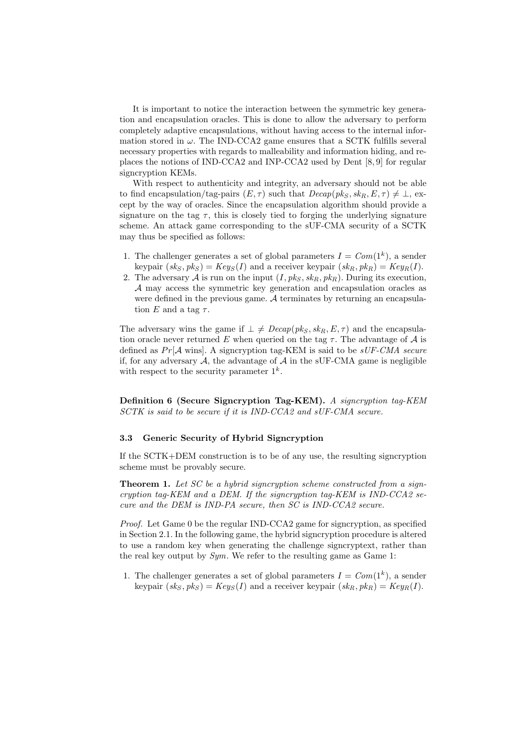It is important to notice the interaction between the symmetric key generation and encapsulation oracles. This is done to allow the adversary to perform completely adaptive encapsulations, without having access to the internal information stored in  $\omega$ . The IND-CCA2 game ensures that a SCTK fulfills several necessary properties with regards to malleability and information hiding, and replaces the notions of IND-CCA2 and INP-CCA2 used by Dent [8, 9] for regular signcryption KEMs.

With respect to authenticity and integrity, an adversary should not be able to find encapsulation/tag-pairs  $(E, \tau)$  such that  $Decap(pk_S, sk_B, E, \tau) \neq \bot$ , except by the way of oracles. Since the encapsulation algorithm should provide a signature on the tag  $\tau$ , this is closely tied to forging the underlying signature scheme. An attack game corresponding to the sUF-CMA security of a SCTK may thus be specified as follows:

- 1. The challenger generates a set of global parameters  $I = Com(1<sup>k</sup>)$ , a sender keypair  $(s k<sub>S</sub>, p k<sub>S</sub>) = Key<sub>S</sub>(I)$  and a receiver keypair  $(s k<sub>R</sub>, p k<sub>R</sub>) = Key<sub>R</sub>(I)$ .
- 2. The adversary A is run on the input  $(I, pk_S, sk_R, pk_R)$ . During its execution, A may access the symmetric key generation and encapsulation oracles as were defined in the previous game. A terminates by returning an encapsulation  $E$  and a tag  $\tau$ .

The adversary wins the game if  $\perp \neq \text{Decap}(pk_S, sk_B, E, \tau)$  and the encapsulation oracle never returned E when queried on the tag  $\tau$ . The advantage of A is defined as  $Pr[\mathcal{A}$  wins. A signcryption tag-KEM is said to be sUF-CMA secure if, for any adversary  $A$ , the advantage of  $A$  in the sUF-CMA game is negligible with respect to the security parameter  $1^k$ .

Definition 6 (Secure Signcryption Tag-KEM). A signcryption tag-KEM SCTK is said to be secure if it is IND-CCA2 and sUF-CMA secure.

#### 3.3 Generic Security of Hybrid Signcryption

If the SCTK+DEM construction is to be of any use, the resulting signcryption scheme must be provably secure.

**Theorem 1.** Let SC be a hybrid signcryption scheme constructed from a signcryption tag-KEM and a DEM. If the signcryption tag-KEM is IND-CCA2 secure and the DEM is IND-PA secure, then SC is IND-CCA2 secure.

*Proof.* Let Game 0 be the regular IND-CCA2 game for signcryption, as specified in Section 2.1. In the following game, the hybrid signcryption procedure is altered to use a random key when generating the challenge signcryptext, rather than the real key output by  $Sym$ . We refer to the resulting game as Game 1:

1. The challenger generates a set of global parameters  $I = Com(1<sup>k</sup>)$ , a sender keypair  $(s k<sub>S</sub>, p k<sub>S</sub>) = Key<sub>S</sub>(I)$  and a receiver keypair  $(s k<sub>B</sub>, p k<sub>B</sub>) = Key<sub>B</sub>(I)$ .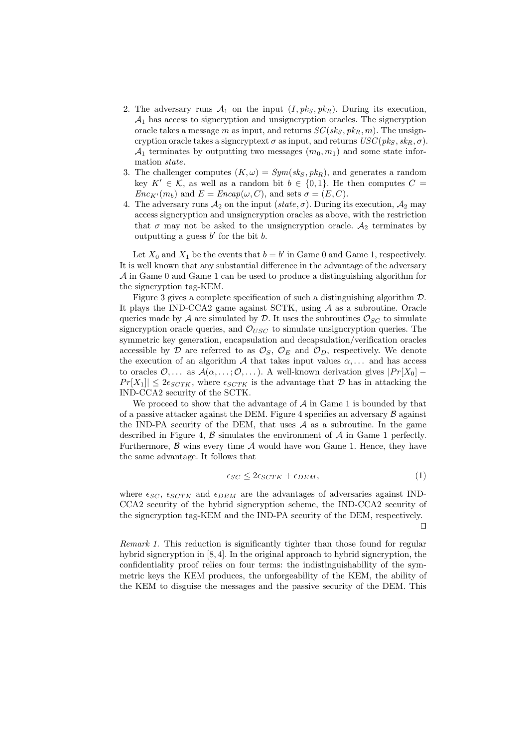- 2. The adversary runs  $A_1$  on the input  $(I, pk_S, pk_R)$ . During its execution,  $A_1$  has access to signcryption and unsigncryption oracles. The signcryption oracle takes a message m as input, and returns  $SC(s k<sub>S</sub>, p k<sub>R</sub>, m)$ . The unsigncryption oracle takes a signcryptext  $\sigma$  as input, and returns  $USC(pk_S, sk_R, \sigma)$ .  $\mathcal{A}_1$  terminates by outputting two messages  $(m_0, m_1)$  and some state information state.
- 3. The challenger computes  $(K, \omega) = Sym({\rm sk}_S, {\rm pk}_R)$ , and generates a random key  $K' \in \mathcal{K}$ , as well as a random bit  $b \in \{0, 1\}$ . He then computes  $C =$  $Enc_{K'}(m_b)$  and  $E = Encap(\omega, C)$ , and sets  $\sigma = (E, C)$ .
- 4. The adversary runs  $A_2$  on the input (state,  $\sigma$ ). During its execution,  $A_2$  may access signcryption and unsigncryption oracles as above, with the restriction that  $\sigma$  may not be asked to the unsigncryption oracle.  $A_2$  terminates by outputting a guess  $b'$  for the bit  $b$ .

Let  $X_0$  and  $X_1$  be the events that  $b = b'$  in Game 0 and Game 1, respectively. It is well known that any substantial difference in the advantage of the adversary  $A$  in Game 0 and Game 1 can be used to produce a distinguishing algorithm for the signcryption tag-KEM.

Figure 3 gives a complete specification of such a distinguishing algorithm D. It plays the IND-CCA2 game against SCTK, using A as a subroutine. Oracle queries made by A are simulated by D. It uses the subroutines  $\mathcal{O}_{SC}$  to simulate signcryption oracle queries, and  $\mathcal{O}_{USC}$  to simulate unsigncryption queries. The symmetric key generation, encapsulation and decapsulation/verification oracles accessible by D are referred to as  $\mathcal{O}_S$ ,  $\mathcal{O}_E$  and  $\mathcal{O}_D$ , respectively. We denote the execution of an algorithm  $\mathcal A$  that takes input values  $\alpha, \ldots$  and has access to oracles  $\mathcal{O}, \ldots$  as  $\mathcal{A}(\alpha, \ldots; \mathcal{O}, \ldots)$ . A well-known derivation gives  $|Pr[X_0] Pr[X_1] \leq 2\epsilon_{SCTK}$ , where  $\epsilon_{SCTK}$  is the advantage that  $D$  has in attacking the IND-CCA2 security of the SCTK.

We proceed to show that the advantage of  $A$  in Game 1 is bounded by that of a passive attacker against the DEM. Figure 4 specifies an adversary  $\beta$  against the IND-PA security of the DEM, that uses  $A$  as a subroutine. In the game described in Figure 4,  $\beta$  simulates the environment of  $\mathcal A$  in Game 1 perfectly. Furthermore,  $\beta$  wins every time  $\mathcal A$  would have won Game 1. Hence, they have the same advantage. It follows that

$$
\epsilon_{SC} \leq 2\epsilon_{SCTK} + \epsilon_{DEM},\tag{1}
$$

where  $\epsilon_{SC}$ ,  $\epsilon_{SCTK}$  and  $\epsilon_{DEM}$  are the advantages of adversaries against IND-CCA2 security of the hybrid signcryption scheme, the IND-CCA2 security of the signcryption tag-KEM and the IND-PA security of the DEM, respectively.  $\Box$ 

Remark 1. This reduction is significantly tighter than those found for regular hybrid signcryption in [8, 4]. In the original approach to hybrid signcryption, the confidentiality proof relies on four terms: the indistinguishability of the symmetric keys the KEM produces, the unforgeability of the KEM, the ability of the KEM to disguise the messages and the passive security of the DEM. This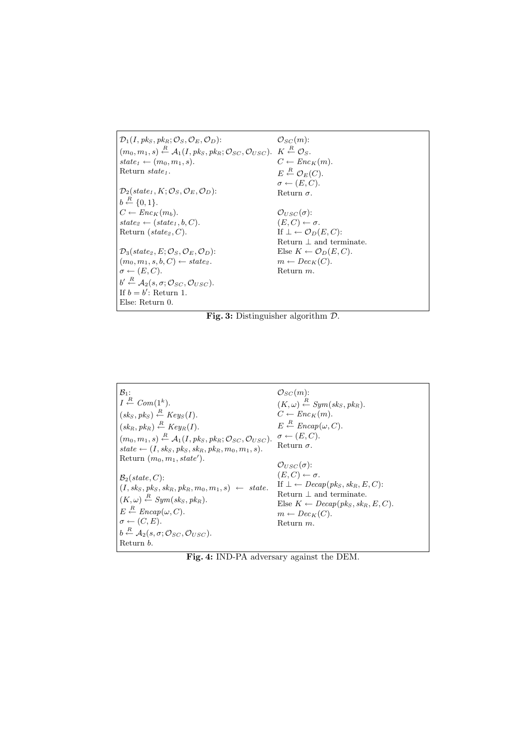| $\mathcal{D}_1(I, \mathit{pk}_S, \mathit{pk}_B; \mathcal{O}_S, \mathcal{O}_E, \mathcal{O}_D)$ :                                                                             | $\mathcal{O}_{SC}(m)$ :                        |
|-----------------------------------------------------------------------------------------------------------------------------------------------------------------------------|------------------------------------------------|
| $(m_0, m_1, s) \stackrel{R}{\leftarrow} \mathcal{A}_1(I, \mathit{pk}_S, \mathit{pk}_R; \mathcal{O}_{SC}, \mathcal{O}_{USC})$ . $K \stackrel{R}{\leftarrow} \mathcal{O}_S$ . |                                                |
| $state_1 \leftarrow (m_0, m_1, s).$                                                                                                                                         | $C \leftarrow Enc_K(m)$ .                      |
| Return $state1$ .                                                                                                                                                           | $E \stackrel{R}{\leftarrow} \mathcal{O}_E(C).$ |
|                                                                                                                                                                             | $\sigma \leftarrow (E, C).$                    |
| $\mathcal{D}_2(\text{state}_1, K; \mathcal{O}_S, \mathcal{O}_E, \mathcal{O}_D)$ :                                                                                           | Return $\sigma$ .                              |
| $b \stackrel{R}{\leftarrow} \{0,1\}.$                                                                                                                                       |                                                |
| $C \leftarrow Enc_{K}(m_b).$                                                                                                                                                | $\mathcal{O}_{USC}(\sigma)$ :                  |
| $state_2 \leftarrow (state_1, b, C).$                                                                                                                                       | $(E, C) \leftarrow \sigma.$                    |
| Return (state <sub>2</sub> , $C$ ).                                                                                                                                         | If $\bot \leftarrow \mathcal{O}_D(E, C)$ :     |
|                                                                                                                                                                             | Return $\perp$ and terminate.                  |
| $\mathcal{D}_3(\text{state}_2, E; \mathcal{O}_S, \mathcal{O}_E, \mathcal{O}_D)$ :                                                                                           | Else $K \leftarrow \mathcal{O}_D(E, C)$ .      |
| $(m_0, m_1, s, b, C) \leftarrow state_2$ .                                                                                                                                  | $m \leftarrow Dec_K(C)$ .                      |
| $\sigma \leftarrow (E, C).$                                                                                                                                                 | Return $m$ .                                   |
| $b' \stackrel{R}{\leftarrow} \mathcal{A}_2(s, \sigma; \mathcal{O}_{SC}, \mathcal{O}_{USC}).$                                                                                |                                                |
| If $b = b'$ : Return 1.                                                                                                                                                     |                                                |
| Else: Return 0.                                                                                                                                                             |                                                |

Fig. 3: Distinguisher algorithm D.

| $B_1$ :                                                                                                                                                                                     | $\mathcal{O}_{SC}(m)$ :                                                                                                                                                    |
|---------------------------------------------------------------------------------------------------------------------------------------------------------------------------------------------|----------------------------------------------------------------------------------------------------------------------------------------------------------------------------|
| $I \stackrel{R}{\leftarrow} Com(1^k).$                                                                                                                                                      | $(K, \omega) \stackrel{R}{\leftarrow} Sym(sk_S, pk_R).$                                                                                                                    |
| $(skS, pkS) \stackrel{R}{\leftarrow} Key_S(I).$                                                                                                                                             | $C \leftarrow Enc_K(m).$                                                                                                                                                   |
| $(sk_R, pk_R) \stackrel{R}{\leftarrow} Key_R(I).$                                                                                                                                           | $E \stackrel{R}{\leftarrow} Encap(\omega, C).$                                                                                                                             |
| $(m_0, m_1, s) \stackrel{R}{\leftarrow} \mathcal{A}_1(I, \mathit{pk}_S, \mathit{pk}_R; \mathcal{O}_{SC}, \mathcal{O}_{USC}).$                                                               | $\sigma \leftarrow (E, C).$                                                                                                                                                |
| state $\leftarrow (I, sk_S, pk_S, sk_R, pk_R, m_0, m_1, s).$                                                                                                                                | Return $\sigma$ .                                                                                                                                                          |
| Return $(m_0, m_1, state')$ .<br>$\mathcal{B}_2$ (state, C):                                                                                                                                | $\mathcal{O}_{USC}(\sigma)$ :<br>$(E, C) \leftarrow \sigma.$                                                                                                               |
| $(I, sk_S, pk_S, sk_R, pk_R, m_0, m_1, s) \leftarrow state.$<br>$(K, \omega) \stackrel{R}{\leftarrow} Sym(\mathit{sk}_S, \mathit{pk}_R).$<br>$E \stackrel{R}{\leftarrow} Encap(\omega, C).$ | If $\bot \leftarrow \text{Decap}(pk_S, sk_R, E, C)$ :<br>Return $\perp$ and terminate.<br>Else $K \leftarrow \text{Decap}(pk_S, sk_B, E, C)$ .<br>$m \leftarrow Dec_K(C).$ |
| $\sigma \leftarrow (C, E).$<br>$b \stackrel{R}{\leftarrow} \mathcal{A}_2(s, \sigma; \mathcal{O}_{SC}, \mathcal{O}_{USC}).$                                                                  | Return $m$ .                                                                                                                                                               |
| Return b.                                                                                                                                                                                   |                                                                                                                                                                            |

Fig. 4: IND-PA adversary against the DEM.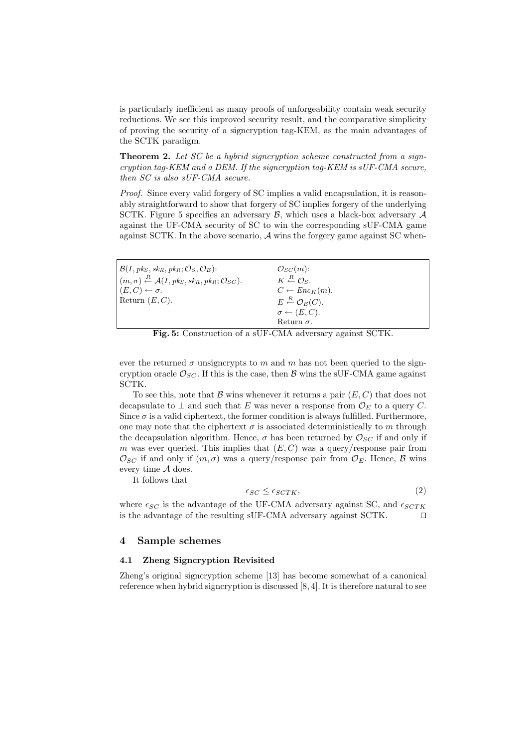is particularly inefficient as many proofs of unforgeability contain weak security reductions. We see this improved security result, and the comparative simplicity of proving the security of a signcryption tag-KEM, as the main advantages of the SCTK paradigm.

Theorem 2. Let SC be a hybrid signcryption scheme constructed from a signcryption tag-KEM and a DEM. If the signcryption tag-KEM is  $sUF-CMA$  secure, then SC is also sUF-CMA secure.

Proof. Since every valid forgery of SC implies a valid encapsulation, it is reasonably straightforward to show that forgery of SC implies forgery of the underlying SCTK. Figure 5 specifies an adversary  $\mathcal{B}$ , which uses a black-box adversary  $\mathcal{A}$ against the UF-CMA security of SC to win the corresponding sUF-CMA game against SCTK. In the above scenario, A wins the forgery game against SC when-

| $\mathcal{B}(I, \mathit{pk}_S, \mathit{sk}_R, \mathit{pk}_R; \mathcal{O}_S, \mathcal{O}_E)$ :                         | $\mathcal{O}_{SC}(m)$ :                          |
|-----------------------------------------------------------------------------------------------------------------------|--------------------------------------------------|
| $(m, \sigma) \stackrel{R}{\leftarrow} \mathcal{A}(I, \mathit{pk}_S, \mathit{sk}_R, \mathit{pk}_R; \mathcal{O}_{SC}).$ | $K \stackrel{R}{\leftarrow} \mathcal{O}_S$ .     |
| $(E, C) \leftarrow \sigma.$                                                                                           | $C \leftarrow Enc_K(m)$ .                        |
| Return $(E, C)$ .                                                                                                     | $E \stackrel{R}{\leftarrow} \mathcal{O}_E(C).$   |
|                                                                                                                       | $\sigma \leftarrow (E, C).$                      |
|                                                                                                                       | Return $\sigma$ .                                |
| $\sim$<br>- ~ - -                                                                                                     | $\sim$ $\sim$ $\sim$ $\sim$ $\sim$ $\sim$ $\sim$ |

Fig. 5: Construction of a sUF-CMA adversary against SCTK.

ever the returned  $\sigma$  unsigncrypts to m and m has not been queried to the signcryption oracle  $\mathcal{O}_{SC}$ . If this is the case, then  $\mathcal{B}$  wins the sUF-CMA game against SCTK.

To see this, note that  $\mathcal B$  wins whenever it returns a pair  $(E, C)$  that does not decapsulate to  $\perp$  and such that E was never a response from  $\mathcal{O}_E$  to a query C. Since  $\sigma$  is a valid ciphertext, the former condition is always fulfilled. Furthermore, one may note that the ciphertext  $\sigma$  is associated deterministically to m through the decapsulation algorithm. Hence,  $\sigma$  has been returned by  $\mathcal{O}_{SC}$  if and only if m was ever queried. This implies that  $(E, C)$  was a query/response pair from  $\mathcal{O}_{SC}$  if and only if  $(m, \sigma)$  was a query/response pair from  $\mathcal{O}_E$ . Hence,  $\beta$  wins every time A does.

It follows that

$$
\epsilon_{SC} \leq \epsilon_{SCTK},\tag{2}
$$

where  $\epsilon_{SC}$  is the advantage of the UF-CMA adversary against SC, and  $\epsilon_{SCTK}$ is the advantage of the resulting  $\text{SUF-CMA}$  adversary against  $\text{SCTK}$ .  $\square$ 

#### 4 Sample schemes

#### 4.1 Zheng Signcryption Revisited

Zheng's original signcryption scheme [13] has become somewhat of a canonical reference when hybrid signcryption is discussed [8, 4]. It is therefore natural to see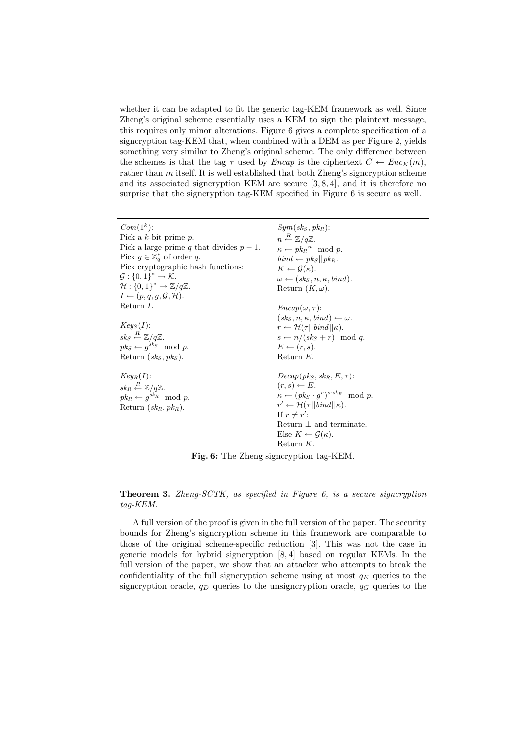whether it can be adapted to fit the generic tag-KEM framework as well. Since Zheng's original scheme essentially uses a KEM to sign the plaintext message, this requires only minor alterations. Figure 6 gives a complete specification of a signcryption tag-KEM that, when combined with a DEM as per Figure 2, yields something very similar to Zheng's original scheme. The only difference between the schemes is that the tag  $\tau$  used by *Encap* is the ciphertext  $C \leftarrow Enc_K(m)$ , rather than  $m$  itself. It is well established that both Zheng's signcryption scheme and its associated signcryption KEM are secure [3, 8, 4], and it is therefore no surprise that the signcryption tag-KEM specified in Figure 6 is secure as well.

| $Com(1^k)$ :<br>Pick a $k$ -bit prime $p$ .<br>Pick a large prime q that divides $p-1$ .<br>Pick $g \in \mathbb{Z}_q^*$ of order q.<br>Pick cryptographic hash functions:<br>$\mathcal{G}: \{0,1\}^* \to \mathcal{K}.$ | $Sum(sks, pk_B)$ :<br>$n \stackrel{R}{\leftarrow} \mathbb{Z}/q\mathbb{Z}.$<br>$\kappa \leftarrow pk_R^{\,n} \mod p.$<br>$bind \leftarrow pk_S  pk_R.$<br>$K \leftarrow \mathcal{G}(\kappa).$                                                                                                       |
|------------------------------------------------------------------------------------------------------------------------------------------------------------------------------------------------------------------------|----------------------------------------------------------------------------------------------------------------------------------------------------------------------------------------------------------------------------------------------------------------------------------------------------|
| $\mathcal{H}: \{0,1\}^* \to \mathbb{Z}/q\mathbb{Z}.$                                                                                                                                                                   | $\omega \leftarrow (sk_S, n, \kappa, bind).$<br>Return $(K, \omega)$ .                                                                                                                                                                                                                             |
| $I \leftarrow (p, q, q, \mathcal{G}, \mathcal{H}).$                                                                                                                                                                    |                                                                                                                                                                                                                                                                                                    |
| Return $I$ .                                                                                                                                                                                                           | $Encap(\omega, \tau)$ :                                                                                                                                                                                                                                                                            |
|                                                                                                                                                                                                                        | $(s kS, n, \kappa, bind) \leftarrow \omega.$                                                                                                                                                                                                                                                       |
| $Key_S(I)$ :                                                                                                                                                                                                           | $r \leftarrow \mathcal{H}(\tau    \text{bind}    \kappa).$                                                                                                                                                                                                                                         |
| $sk_S \stackrel{R}{\leftarrow} \mathbb{Z}/q\mathbb{Z}.$                                                                                                                                                                | $s \leftarrow n/(sk_s+r) \mod q$ .                                                                                                                                                                                                                                                                 |
| $pk_S \leftarrow g^{sk_S} \mod p.$                                                                                                                                                                                     | $E \leftarrow (r, s).$                                                                                                                                                                                                                                                                             |
| Return $(sk_S, pk_S)$ .                                                                                                                                                                                                | Return $E$ .                                                                                                                                                                                                                                                                                       |
| $Key_R(I)$ :<br>$sk_R \stackrel{R}{\leftarrow} \mathbb{Z}/q\mathbb{Z}.$<br>$pk_R \leftarrow q^{sk_R} \mod p.$<br>Return $(sk_R, pk_R)$ .                                                                               | $Decap(\,pk_S, sk_B, E, \tau)$ :<br>$(r, s) \leftarrow E$ .<br>$\kappa \leftarrow (pk_S \cdot g^r)^{s \cdot sk_R} \mod p.$<br>$r' \leftarrow \mathcal{H}(\tau    bind  \kappa).$<br>If $r \neq r'$ :<br>Return $\perp$ and terminate.<br>Else $K \leftarrow \mathcal{G}(\kappa)$ .<br>Return $K$ . |

Fig. 6: The Zheng signcryption tag-KEM.

**Theorem 3.** Zheng-SCTK, as specified in Figure 6, is a secure signcryption tag-KEM.

A full version of the proof is given in the full version of the paper. The security bounds for Zheng's signcryption scheme in this framework are comparable to those of the original scheme-specific reduction [3]. This was not the case in generic models for hybrid signcryption [8, 4] based on regular KEMs. In the full version of the paper, we show that an attacker who attempts to break the confidentiality of the full signcryption scheme using at most  $q_E$  queries to the signcryption oracle,  $q_D$  queries to the unsigncryption oracle,  $q_G$  queries to the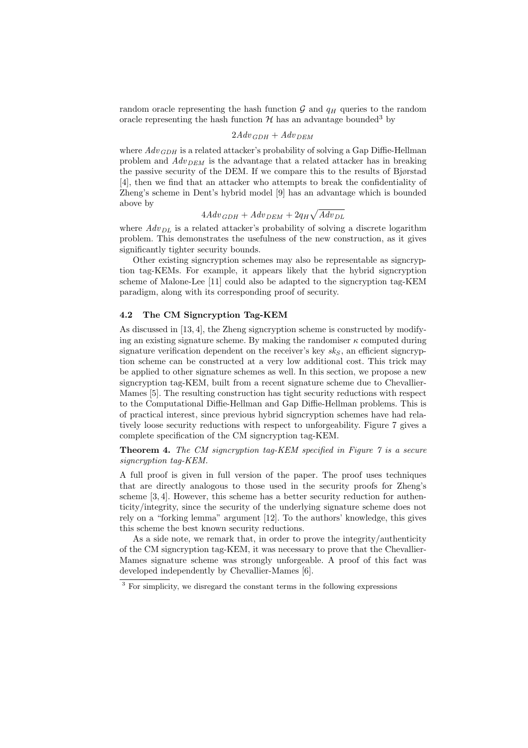random oracle representing the hash function  $\mathcal G$  and  $q_H$  queries to the random oracle representing the hash function  $\mathcal H$  has an advantage bounded<sup>3</sup> by

# $2A dv_{GDH} + Adv_{DEM}$

where  $Adv_{GDH}$  is a related attacker's probability of solving a Gap Diffie-Hellman problem and  $Adv_{DEM}$  is the advantage that a related attacker has in breaking the passive security of the DEM. If we compare this to the results of Bjørstad [4], then we find that an attacker who attempts to break the confidentiality of Zheng's scheme in Dent's hybrid model [9] has an advantage which is bounded above by p

#### $4A dv_{GDH} + A dv_{DEM} + 2q_H$  $Adv_{DL}$

where  $Adv_{DL}$  is a related attacker's probability of solving a discrete logarithm problem. This demonstrates the usefulness of the new construction, as it gives significantly tighter security bounds.

Other existing signcryption schemes may also be representable as signcryption tag-KEMs. For example, it appears likely that the hybrid signcryption scheme of Malone-Lee [11] could also be adapted to the signcryption tag-KEM paradigm, along with its corresponding proof of security.

# 4.2 The CM Signcryption Tag-KEM

As discussed in [13, 4], the Zheng signcryption scheme is constructed by modifying an existing signature scheme. By making the randomiser  $\kappa$  computed during signature verification dependent on the receiver's key  $sk_S$ , an efficient signcryption scheme can be constructed at a very low additional cost. This trick may be applied to other signature schemes as well. In this section, we propose a new signcryption tag-KEM, built from a recent signature scheme due to Chevallier-Mames [5]. The resulting construction has tight security reductions with respect to the Computational Diffie-Hellman and Gap Diffie-Hellman problems. This is of practical interest, since previous hybrid signcryption schemes have had relatively loose security reductions with respect to unforgeability. Figure 7 gives a complete specification of the CM signcryption tag-KEM.

Theorem 4. The CM signcryption tag-KEM specified in Figure 7 is a secure signcryption tag-KEM.

A full proof is given in full version of the paper. The proof uses techniques that are directly analogous to those used in the security proofs for Zheng's scheme [3, 4]. However, this scheme has a better security reduction for authenticity/integrity, since the security of the underlying signature scheme does not rely on a "forking lemma" argument [12]. To the authors' knowledge, this gives this scheme the best known security reductions.

As a side note, we remark that, in order to prove the integrity/authenticity of the CM signcryption tag-KEM, it was necessary to prove that the Chevallier-Mames signature scheme was strongly unforgeable. A proof of this fact was developed independently by Chevallier-Mames [6].

 $\frac{3}{3}$  For simplicity, we disregard the constant terms in the following expressions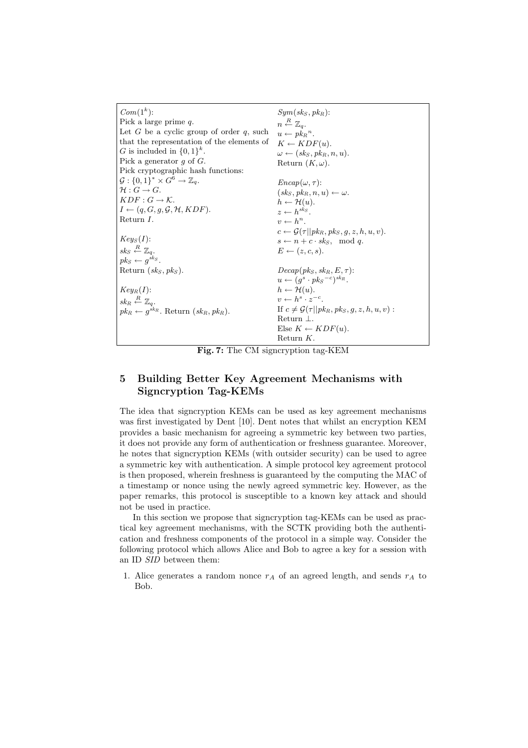| $Com(1k)$ :                                                   | $Sym({\mathit{sk}}_S, {\mathit{pk}}_R)$ :                        |
|---------------------------------------------------------------|------------------------------------------------------------------|
| Pick a large prime $q$ .                                      | $n \stackrel{R}{\leftarrow} \mathbb{Z}_q.$                       |
| Let G be a cyclic group of order $q$ , such                   | $u \leftarrow p k_B^n$ .                                         |
| that the representation of the elements of                    | $K \leftarrow KDF(u).$                                           |
| G is included in $\{0,1\}^k$ .                                | $\omega \leftarrow (sk_S, pk_R, n, u).$                          |
| Pick a generator q of $G$ .                                   | Return $(K, \omega)$ .                                           |
| Pick cryptographic hash functions:                            |                                                                  |
| $\mathcal{G}: \{0,1\}^* \times G^6 \rightarrow \mathbb{Z}_q.$ | $Encap(\omega, \tau)$ :                                          |
| $\mathcal{H}: G \to G.$                                       | $(sk_S, pk_R, n, u) \leftarrow \omega.$                          |
| $KDF: G \to \mathcal{K}$ .                                    | $h \leftarrow \mathcal{H}(u)$ .                                  |
| $I \leftarrow (q, G, q, \mathcal{G}, \mathcal{H}, KDF).$      | $z \leftarrow h^{s k s}$                                         |
| Return I.                                                     | $v \leftarrow h^n$                                               |
|                                                               | $c \leftarrow \mathcal{G}(\tau    p k_R, p k_S, g, z, h, u, v).$ |
| $Key_S(I)$ :                                                  | $s \leftarrow n + c \cdot sk_s$ , mod q.                         |
| $sk_S \stackrel{R}{\leftarrow} \mathbb{Z}_a$ .                | $E \leftarrow (z, c, s).$                                        |
| $pk_S \leftarrow a^{sk_S}.$                                   |                                                                  |
| Return $(sk_S, pk_S)$ .                                       | $Decap(\,pk_S, sk_B, E, \tau).$                                  |
|                                                               | $u \leftarrow (q^s \cdot pk_s^{-c})^{sk_R}.$                     |
| $Key_R(I)$ :                                                  | $h \leftarrow \mathcal{H}(u)$ .                                  |
| $sk_R \stackrel{R}{\leftarrow} \mathbb{Z}_q$ .                | $v \leftarrow h^s \cdot z^{-c}$ .                                |
| $pk_R \leftarrow q^{sk_R}$ . Return $(sk_R, pk_R$ ).          | If $c \neq \mathcal{G}(\tau    p k_R, p k_S, q, z, h, u, v)$ :   |
|                                                               | Return $\perp$ .                                                 |
|                                                               | Else $K \leftarrow KDF(u)$ .                                     |
|                                                               | Return $K$ .                                                     |

Fig. 7: The CM signcryption tag-KEM

# 5 Building Better Key Agreement Mechanisms with Signcryption Tag-KEMs

The idea that signcryption KEMs can be used as key agreement mechanisms was first investigated by Dent [10]. Dent notes that whilst an encryption KEM provides a basic mechanism for agreeing a symmetric key between two parties, it does not provide any form of authentication or freshness guarantee. Moreover, he notes that signcryption KEMs (with outsider security) can be used to agree a symmetric key with authentication. A simple protocol key agreement protocol is then proposed, wherein freshness is guaranteed by the computing the MAC of a timestamp or nonce using the newly agreed symmetric key. However, as the paper remarks, this protocol is susceptible to a known key attack and should not be used in practice.

In this section we propose that signcryption tag-KEMs can be used as practical key agreement mechanisms, with the SCTK providing both the authentication and freshness components of the protocol in a simple way. Consider the following protocol which allows Alice and Bob to agree a key for a session with an ID SID between them:

1. Alice generates a random nonce  $r_A$  of an agreed length, and sends  $r_A$  to Bob.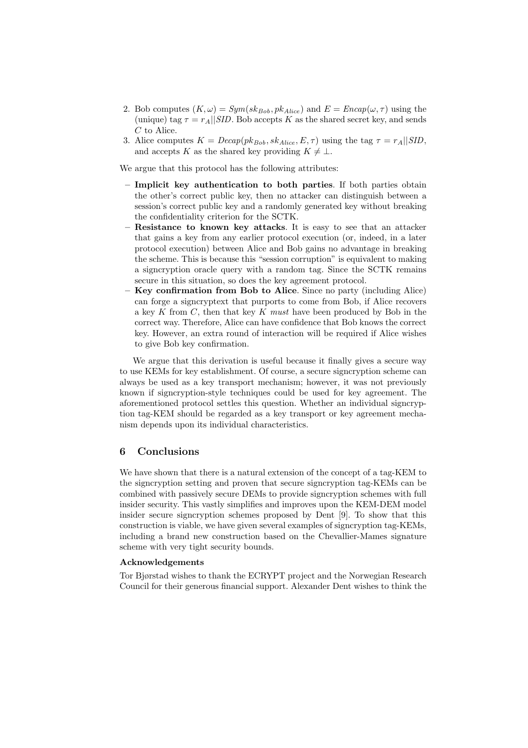- 2. Bob computes  $(K, \omega) = Sym(sk_{Bob}, pk_{Alice})$  and  $E = Encap(\omega, \tau)$  using the (unique) tag  $\tau = r_A||SID$ . Bob accepts K as the shared secret key, and sends C to Alice.
- 3. Alice computes  $K = Decap(pk_{Bob}, sk_{Alice}, E, \tau)$  using the tag  $\tau = r_A||SID$ , and accepts K as the shared key providing  $K \neq \perp$ .

We argue that this protocol has the following attributes:

- Implicit key authentication to both parties. If both parties obtain the other's correct public key, then no attacker can distinguish between a session's correct public key and a randomly generated key without breaking the confidentiality criterion for the SCTK.
- Resistance to known key attacks. It is easy to see that an attacker that gains a key from any earlier protocol execution (or, indeed, in a later protocol execution) between Alice and Bob gains no advantage in breaking the scheme. This is because this "session corruption" is equivalent to making a signcryption oracle query with a random tag. Since the SCTK remains secure in this situation, so does the key agreement protocol.
- Key confirmation from Bob to Alice. Since no party (including Alice) can forge a signcryptext that purports to come from Bob, if Alice recovers a key K from  $C$ , then that key K must have been produced by Bob in the correct way. Therefore, Alice can have confidence that Bob knows the correct key. However, an extra round of interaction will be required if Alice wishes to give Bob key confirmation.

We argue that this derivation is useful because it finally gives a secure way to use KEMs for key establishment. Of course, a secure signcryption scheme can always be used as a key transport mechanism; however, it was not previously known if signcryption-style techniques could be used for key agreement. The aforementioned protocol settles this question. Whether an individual signcryption tag-KEM should be regarded as a key transport or key agreement mechanism depends upon its individual characteristics.

# 6 Conclusions

We have shown that there is a natural extension of the concept of a tag-KEM to the signcryption setting and proven that secure signcryption tag-KEMs can be combined with passively secure DEMs to provide signcryption schemes with full insider security. This vastly simplifies and improves upon the KEM-DEM model insider secure signcryption schemes proposed by Dent [9]. To show that this construction is viable, we have given several examples of signcryption tag-KEMs, including a brand new construction based on the Chevallier-Mames signature scheme with very tight security bounds.

#### Acknowledgements

Tor Bjørstad wishes to thank the ECRYPT project and the Norwegian Research Council for their generous financial support. Alexander Dent wishes to think the